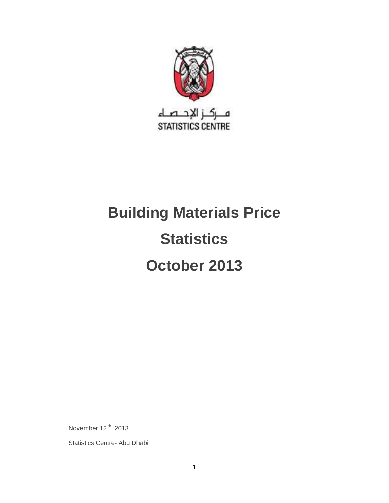

# **Building Materials Price Statistics October 2013**

November 12<sup>th</sup>, 2013

Statistics Centre- Abu Dhabi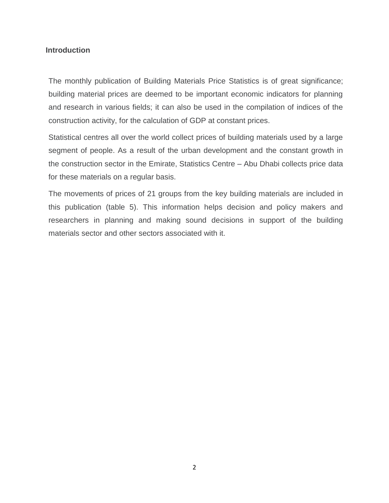## **Introduction**

The monthly publication of Building Materials Price Statistics is of great significance; building material prices are deemed to be important economic indicators for planning and research in various fields; it can also be used in the compilation of indices of the construction activity, for the calculation of GDP at constant prices.

Statistical centres all over the world collect prices of building materials used by a large segment of people. As a result of the urban development and the constant growth in the construction sector in the Emirate, Statistics Centre – Abu Dhabi collects price data for these materials on a regular basis.

The movements of prices of 21 groups from the key building materials are included in this publication (table 5). This information helps decision and policy makers and researchers in planning and making sound decisions in support of the building materials sector and other sectors associated with it.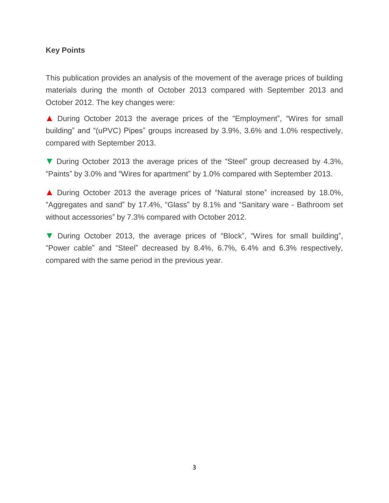### **Key Points**

This publication provides an analysis of the movement of the average prices of building materials during the month of October 2013 compared with September 2013 and October 2012. The key changes were:

▲ During October 2013 the average prices of the "Employment", "Wires for small building" and "(uPVC) Pipes" groups increased by 3.9%, 3.6% and 1.0% respectively, compared with September 2013.

▼ During October 2013 the average prices of the "Steel" group decreased by 4.3%, "Paints" by 3.0% and "Wires for apartment" by 1.0% compared with September 2013.

▲ During October 2013 the average prices of "Natural stone" increased by 18.0%, "Aggregates and sand" by 17.4%, "Glass" by 8.1% and "Sanitary ware - Bathroom set without accessories" by 7.3% compared with October 2012.

▼ During October 2013, the average prices of "Block", "Wires for small building", "Power cable" and "Steel" decreased by 8.4%, 6.7%, 6.4% and 6.3% respectively, compared with the same period in the previous year.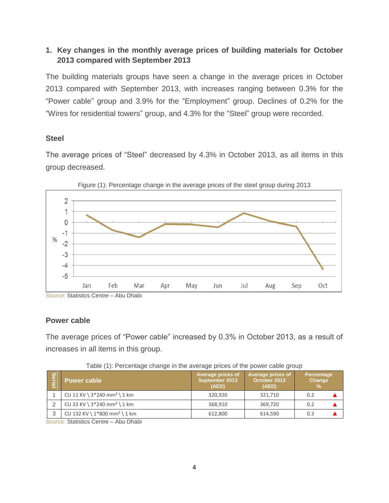## **1. Key changes in the monthly average prices of building materials for October 2013 compared with September 2013**

The building materials groups have seen a change in the average prices in October 2013 compared with September 2013, with increases ranging between 0.3% for the "Power cable" group and 3.9% for the "Employment" group. Declines of 0.2% for the "Wires for residential towers" group, and 4.3% for the "Steel" group were recorded.

## **Steel**

The average prices of "Steel" decreased by 4.3% in October 2013, as all items in this group decreased.





## **Power cable**

The average prices of "Power cable" increased by 0.3% in October 2013, as a result of increases in all items in this group.

| Serial                               | Power cable                                | Average prices of<br>∣ September 2013 <sup>i</sup><br>(AED) | Average prices of<br>October 2013<br>(AED) | Percentage<br>Change<br>$\%$ |
|--------------------------------------|--------------------------------------------|-------------------------------------------------------------|--------------------------------------------|------------------------------|
|                                      | CU 11 KV \ $3*240$ mm <sup>2</sup> \ 1 km  | 320.920                                                     | 321,710                                    | 0.2                          |
|                                      | CU 33 KV \ $3*240$ mm <sup>2</sup> \ 1 km  | 368,910                                                     | 369.720                                    | 0.2                          |
| 3                                    | CU 132 KV \ $1*800$ mm <sup>2</sup> \ 1 km | 612,800                                                     | 614,590                                    | 0.3                          |
| Courage: Ctatistics Contro Abu Dhobi |                                            |                                                             |                                            |                              |

Table (1): Percentage change in the average prices of the power cable group

Source: Statistics Centre – Abu Dhabi

Source: Statistics Centre – Abu Dhabi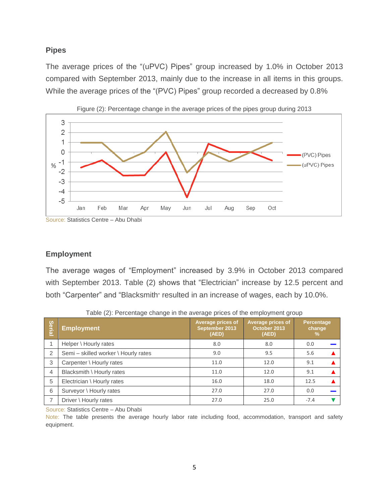## **Pipes**

The average prices of the "(uPVC) Pipes" group increased by 1.0% in October 2013 compared with September 2013, mainly due to the increase in all items in this groups. While the average prices of the "(PVC) Pipes" group recorded a decreased by 0.8%





Source: Statistics Centre – Abu Dhabi

## **Employment**

The average wages of "Employment" increased by 3.9% in October 2013 compared with September 2013. Table (2) shows that "Electrician" increase by 12.5 percent and both "Carpenter" and "Blacksmith" resulted in an increase of wages, each by 10.0%.

| Serial         | <b>Employment</b>                    | <b>Average prices of</b><br>September 2013<br>(AED) | <b>Average prices of</b><br>October 2013<br>(AED) | <b>Percentage</b><br>change<br>% |
|----------------|--------------------------------------|-----------------------------------------------------|---------------------------------------------------|----------------------------------|
|                | Helper \ Hourly rates                | 8.0                                                 | 8.0                                               | 0.0                              |
| 2              | Semi - skilled worker \ Hourly rates | 9.0                                                 | 9.5                                               | 5.6                              |
| 3              | Carpenter \ Hourly rates             | 11.0                                                | 12.0                                              | 9.1                              |
| $\overline{4}$ | Blacksmith \ Hourly rates            | 11.0                                                | 12.0                                              | 9.1                              |
| 5              | Electrician \ Hourly rates           | 16.0                                                | 18.0                                              | 12.5                             |
| 6              | Surveyor \ Hourly rates              | 27.0                                                | 27.0                                              | 0.0                              |
|                | Driver \ Hourly rates                | 27.0                                                | 25.0                                              | $-7.4$                           |

Table (2): Percentage change in the average prices of the employment group

Source: Statistics Centre – Abu Dhabi

Note: The table presents the average hourly labor rate including food, accommodation, transport and safety equipment.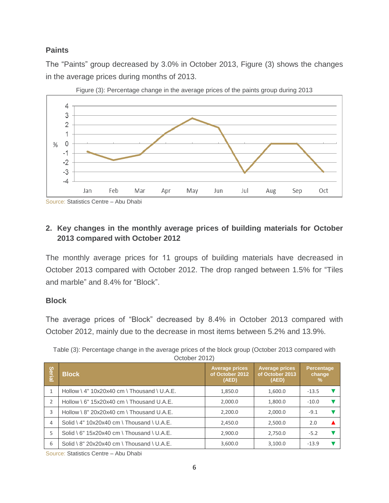## **Paints**

The "Paints" group decreased by 3.0% in October 2013, Figure (3) shows the changes in the average prices during months of 2013.



Figure (3): Percentage change in the average prices of the paints group during 2013

Source: Statistics Centre – Abu Dhabi

## **2. Key changes in the monthly average prices of building materials for October 2013 compared with October 2012**

The monthly average prices for 11 groups of building materials have decreased in October 2013 compared with October 2012. The drop ranged between 1.5% for "Tiles and marble" and 8.4% for "Block".

## **Block**

The average prices of "Block" decreased by 8.4% in October 2013 compared with October 2012, mainly due to the decrease in most items between 5.2% and 13.9%.

Table (3): Percentage change in the average prices of the block group (October 2013 compared with October 2012)

| Seria         | <b>Block</b>                                  | <b>Average prices</b><br>of October 2012<br>(AED) | <b>Average prices</b><br>of October 2013<br>(AED) | Percentage<br>change<br>% |
|---------------|-----------------------------------------------|---------------------------------------------------|---------------------------------------------------|---------------------------|
|               | Hollow \ $4" 10x20x40$ cm \ Thousand \ U.A.E. | 1,850.0                                           | 1,600.0                                           | $-13.5$                   |
| $\mathcal{P}$ | Hollow \ $6"$ 15x20x40 cm \ Thousand U.A.E.   | 2,000.0                                           | 1,800.0                                           | $-10.0$                   |
| 3             | Hollow \ $8" 20x20x40$ cm \ Thousand U.A.E.   | 2,200.0                                           | 2,000.0                                           | $-9.1$                    |
| 4             | Solid \ $4" 10x20x40$ cm \ Thousand \ U.A.E.  | 2.450.0                                           | 2,500.0                                           | 2.0                       |
| 5             | Solid \ $6" 15x20x40$ cm \ Thousand \ U.A.E.  | 2,900.0                                           | 2,750.0                                           | $-5.2$                    |
| 6             | Solid \ $8" 20x20x40$ cm \ Thousand \ U.A.E.  | 3,600.0                                           | 3,100.0                                           | $-13.9$                   |

Source: Statistics Centre – Abu Dhabi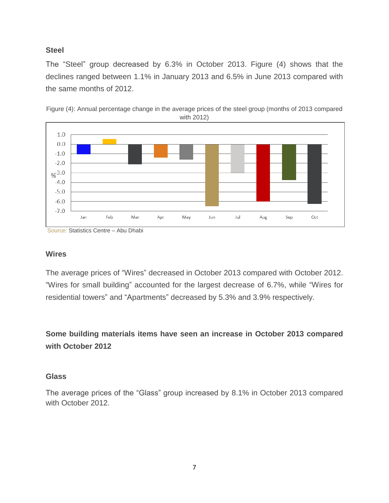## **Steel**

The "Steel" group decreased by 6.3% in October 2013. Figure (4) shows that the declines ranged between 1.1% in January 2013 and 6.5% in June 2013 compared with the same months of 2012.





## **Wires**

The average prices of "Wires" decreased in October 2013 compared with October 2012. "Wires for small building" accounted for the largest decrease of 6.7%, while "Wires for residential towers" and "Apartments" decreased by 5.3% and 3.9% respectively.

**Some building materials items have seen an increase in October 2013 compared with October 2012**

## **Glass**

The average prices of the "Glass" group increased by 8.1% in October 2013 compared with October 2012.

Source: Statistics Centre – Abu Dhabi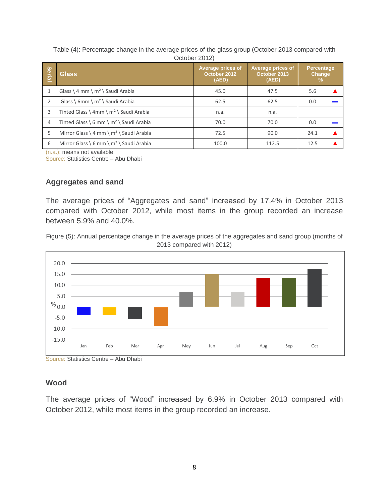| Table (4): Percentage change in the average prices of the glass group (October 2013 compared with |  |  |
|---------------------------------------------------------------------------------------------------|--|--|
| October 2012)                                                                                     |  |  |

| Serial | <b>Glass</b>                               | Average prices of<br>October 2012<br>(AED) | Average prices of<br>October 2013<br>(AED) | <b>Percentage</b><br>Change<br>$\%$ |
|--------|--------------------------------------------|--------------------------------------------|--------------------------------------------|-------------------------------------|
|        | Glass \ 4 mm \ $m^2$ \ Saudi Arabia        | 45.0                                       | 47.5                                       | 5.6                                 |
|        | Glass \ 6mm \ $m^2$ \ Saudi Arabia         | 62.5                                       | 62.5                                       | 0.0                                 |
| 3      | Tinted Glass \ 4mm \ $m^2$ \ Saudi Arabia  | n.a.                                       | n.a.                                       |                                     |
| 4      | Tinted Glass \ 6 mm \ $m^2$ \ Saudi Arabia | 70.0                                       | 70.0                                       | 0.0                                 |
| 5      | Mirror Glass \ 4 mm \ $m^2$ \ Saudi Arabia | 72.5                                       | 90.0                                       | 24.1                                |
| 6      | Mirror Glass \ 6 mm \ $m^2$ \ Saudi Arabia | 100.0                                      | 112.5                                      | 12.5                                |

(n.a.): means not available

Source: Statistics Centre – Abu Dhabi

## **Aggregates and sand**

The average prices of "Aggregates and sand" increased by 17.4% in October 2013 compared with October 2012, while most items in the group recorded an increase between 5.9% and 40.0%.

Figure (5): Annual percentage change in the average prices of the aggregates and sand group (months of 2013 compared with 2012)



Source: Statistics Centre – Abu Dhabi

#### **Wood**

The average prices of "Wood" increased by 6.9% in October 2013 compared with October 2012, while most items in the group recorded an increase.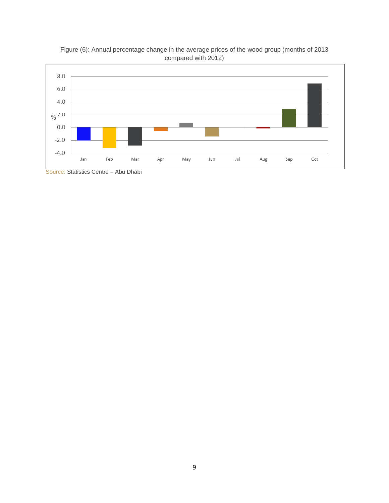



Source: Statistics Centre – Abu Dhabi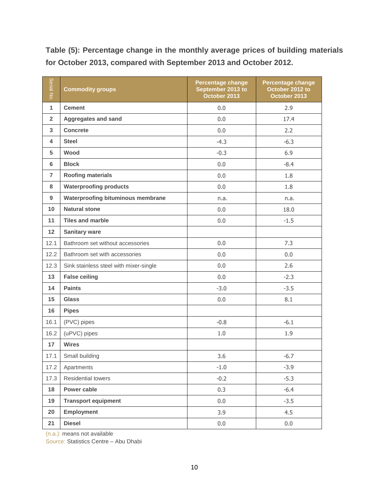**Table (5): Percentage change in the monthly average prices of building materials for October 2013, compared with September 2013 and October 2012.**

| Serial No.     | <b>Commodity groups</b>                  | <b>Percentage change</b><br>September 2013 to<br>October 2013 | <b>Percentage change</b><br>October 2012 to<br>October 2013 |
|----------------|------------------------------------------|---------------------------------------------------------------|-------------------------------------------------------------|
| $\mathbf{1}$   | <b>Cement</b>                            | 0.0                                                           | 2.9                                                         |
| $\overline{2}$ | <b>Aggregates and sand</b>               | 0.0                                                           | 17.4                                                        |
| 3              | <b>Concrete</b>                          | 0.0                                                           | 2.2                                                         |
| 4              | <b>Steel</b>                             | $-4.3$                                                        | $-6.3$                                                      |
| 5              | Wood                                     | $-0.3$                                                        | 6.9                                                         |
| 6              | <b>Block</b>                             | 0.0                                                           | $-8.4$                                                      |
| $\overline{7}$ | <b>Roofing materials</b>                 | 0.0                                                           | 1.8                                                         |
| 8              | <b>Waterproofing products</b>            | 0.0                                                           | 1.8                                                         |
| 9              | <b>Waterproofing bituminous membrane</b> | n.a.                                                          | n.a.                                                        |
| 10             | <b>Natural stone</b>                     | 0.0                                                           | 18.0                                                        |
| 11             | <b>Tiles and marble</b>                  | 0.0                                                           | $-1.5$                                                      |
| 12             | <b>Sanitary ware</b>                     |                                                               |                                                             |
| 12.1           | Bathroom set without accessories         | 0.0                                                           | 7.3                                                         |
| 12.2           | Bathroom set with accessories            | 0.0                                                           | 0.0                                                         |
| 12.3           | Sink stainless steel with mixer-single   | 0.0                                                           | 2.6                                                         |
| 13             | <b>False ceiling</b>                     | 0.0                                                           | $-2.3$                                                      |
| 14             | <b>Paints</b>                            | $-3.0$                                                        | $-3.5$                                                      |
| 15             | <b>Glass</b>                             | 0.0                                                           | 8.1                                                         |
| 16             | <b>Pipes</b>                             |                                                               |                                                             |
| 16.1           | (PVC) pipes                              | $-0.8$                                                        | $-6.1$                                                      |
| 16.2           | (uPVC) pipes                             | 1.0                                                           | 1.9                                                         |
| 17             | <b>Wires</b>                             |                                                               |                                                             |
| 17.1           | Small building                           | 3.6                                                           | $-6.7$                                                      |
| 17.2           | Apartments                               | $-1.0$                                                        | $-3.9$                                                      |
| 17.3           | Residential towers                       | $-0.2$                                                        | $-5.3$                                                      |
| 18             | Power cable                              | 0.3                                                           | $-6.4$                                                      |
| 19             | <b>Transport equipment</b>               | 0.0                                                           | $-3.5$                                                      |
| 20             | <b>Employment</b>                        | 3.9                                                           | 4.5                                                         |
| 21             | <b>Diesel</b>                            | 0.0                                                           | 0.0                                                         |

(n.a.): means not available

Source: Statistics Centre – Abu Dhabi